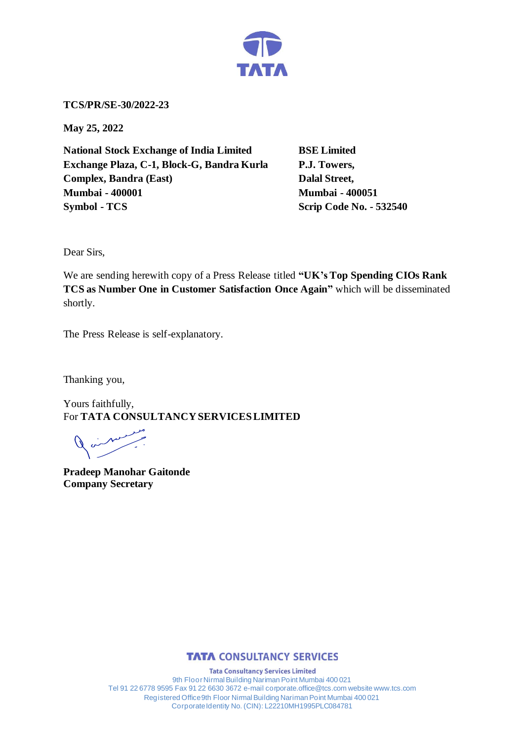

**TCS/PR/SE-30/2022-23**

**May 25, 2022**

**National Stock Exchange of India Limited BSE Limited Exchange Plaza, C-1, Block-G, Bandra Kurla P.J. Towers, Complex, Bandra (East)** Dalal Street, **Mumbai - 400001 Mumbai - 400051 Symbol - TCS Scrip Code No. - 532540** 

Dear Sirs,

We are sending herewith copy of a Press Release titled **"UK's Top Spending CIOs Rank TCS as Number One in Customer Satisfaction Once Again"** which will be disseminated shortly.

The Press Release is self-explanatory.

Thanking you,

Yours faithfully, For **TATA CONSULTANCY SERVICES LIMITED**

**Pradeep Manohar Gaitonde Company Secretary**



**Tata Consultancy Services Limited** 9th Floor Nirmal Building Nariman Point Mumbai 400 021 Tel 91 22 6778 9595 Fax 91 22 6630 3672 e-mail corporate.office@tcs.com website www.tcs.com Registered Office 9th Floor Nirmal Building Nariman Point Mumbai 400 021 Corporate Identity No. (CIN): L22210MH1995PLC084781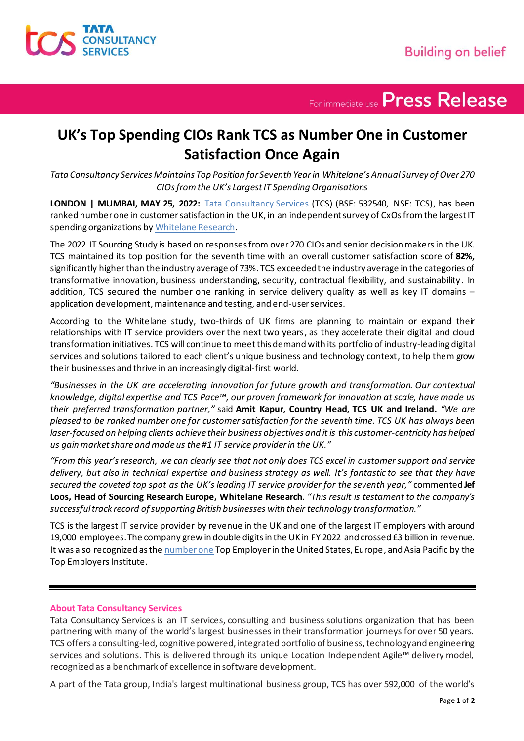

For immediate use Press Release

## **UK's Top Spending CIOs Rank TCS as Number One in Customer Satisfaction Once Again**

*Tata Consultancy Services Maintains Top Position for Seventh Yearin Whitelane's Annual Survey of Over 270 CIOs fromthe UK's Largest IT Spending Organisations*

**LONDON | MUMBAI, MAY 25, 2022:** [Tata Consultancy Services](https://www.tcs.com/) (TCS) (BSE: 532540, NSE: TCS), has been ranked number one in customer satisfaction in the UK, in an independent survey of CxOs from the largest IT spending organizations by [Whitelane Research](https://whitelane.com/).

The 2022 IT Sourcing Study is based on responses from over 270 CIOs and senior decision makers in the UK. TCS maintained its top position for the seventh time with an overall customer satisfaction score of **82%,** significantly higher than the industry average of 73%. TCS exceeded the industry average in the categories of transformative innovation, business understanding, security, contractual flexibility, and sustainability. In addition, TCS secured the number one ranking in service delivery quality as well as key IT domains – application development, maintenance and testing, and end-user services.

According to the Whitelane study, two-thirds of UK firms are planning to maintain or expand their relationships with IT service providers over the next two years, as they accelerate their digital and cloud transformation initiatives. TCS will continue to meet this demand with its portfolio of industry-leading digital services and solutions tailored to each client's unique business and technology context, to help them grow their businesses and thrive in an increasingly digital-first world.

*"Businesses in the UK are accelerating innovation for future growth and transformation. Our contextual knowledge, digital expertise and TCS Pace™, our proven framework for innovation at scale, have made us their preferred transformation partner,"* said **Amit Kapur, Country Head, TCS UK and Ireland***. "We are pleased to be ranked number one for customer satisfaction for the seventh time. TCS UK has always been laser-focused on helping clients achieve their business objectives and it is this customer-centricity has helped us gain market share and made us the #1 IT service provider in the UK."*

*"From this year's research, we can clearly see that not only does TCS excel in customer support and service delivery, but also in technical expertise and business strategy as well. It's fantastic to see that they have secured the coveted top spot as the UK's leading IT service provider for the seventh year,"* commented **Jef Loos, Head of Sourcing Research Europe, Whitelane Research***. "This result is testament to the company's successful track record of supporting British businesses with their technology transformation."*

TCS is the largest IT service provider by revenue in the UK and one of the largest IT employers with around 19,000 employees. The company grew in double digitsin the UK in FY 2022 and crossed £3 billion in revenue. It was also recognized as th[e number one](https://www.tcs.com/tcs-named-2022-global-top-employer) Top Employer in the United States, Europe, and Asia Pacific by the Top Employers Institute.

## **About Tata Consultancy Services**

Tata Consultancy Services is an IT services, consulting and business solutions organization that has been partnering with many of the world's largest businesses in their transformation journeys for over 50 years. TCS offers a consulting-led, cognitive powered, integrated portfolio of business, technology and engineering services and solutions. This is delivered through its unique Location Independent Agile™ delivery model, recognized as a benchmark of excellence in software development.

A part of the Tata group, India's largest multinational business group, TCS has over 592,000 of the world's